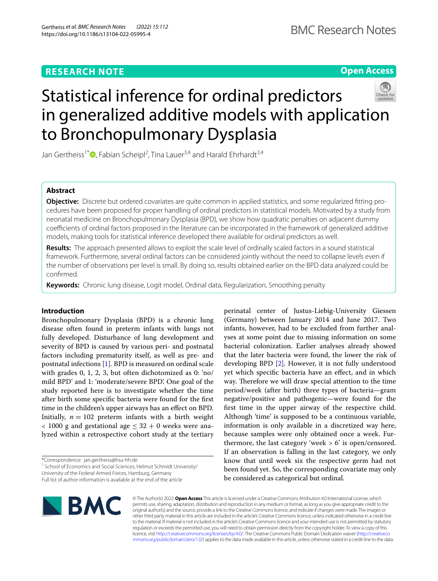## **RESEARCH NOTE**

**Open Access**

# Statistical inference for ordinal predictors in generalized additive models with application to Bronchopulmonary Dysplasia

Jan Gertheiss<sup>1\*</sup>®[,](http://orcid.org/0000-0001-6777-4746) Fabian Scheipl<sup>2</sup>, Tina Lauer<sup>3,4</sup> and Harald Ehrhardt<sup>3,4</sup>

## **Abstract**

**Objective:** Discrete but ordered covariates are quite common in applied statistics, and some regularized ftting procedures have been proposed for proper handling of ordinal predictors in statistical models. Motivated by a study from neonatal medicine on Bronchopulmonary Dysplasia (BPD), we show how quadratic penalties on adjacent dummy coefficients of ordinal factors proposed in the literature can be incorporated in the framework of generalized additive models, making tools for statistical inference developed there available for ordinal predictors as well.

**Results:** The approach presented allows to exploit the scale level of ordinally scaled factors in a sound statistical framework. Furthermore, several ordinal factors can be considered jointly without the need to collapse levels even if the number of observations per level is small. By doing so, results obtained earlier on the BPD data analyzed could be confrmed.

**Keywords:** Chronic lung disease, Logit model, Ordinal data, Regularization, Smoothing penalty

## **Introduction**

Bronchopulmonary Dysplasia (BPD) is a chronic lung disease often found in preterm infants with lungs not fully developed. Disturbance of lung development and severity of BPD is caused by various peri- and postnatal factors including prematurity itself, as well as pre- and postnatal infections [\[1](#page-5-0)]. BPD is measured on ordinal scale with grades 0, 1, 2, 3, but often dichotomized as 0: 'no/ mild BPD' and 1: 'moderate/severe BPD'. One goal of the study reported here is to investigate whether the time after birth some specifc bacteria were found for the frst time in the children's upper airways has an efect on BPD. Initially,  $n = 102$  preterm infants with a birth weight  $<$  1000 g and gestational age  $<$  32 + 0 weeks were analyzed within a retrospective cohort study at the tertiary

\*Correspondence: jan.gertheiss@hsu-hh.de

<sup>1</sup> School of Economics and Social Sciences, Helmut Schmidt University/ University of the Federal Armed Forces, Hamburg, Germany Full list of author information is available at the end of the article

perinatal center of Justus-Liebig-University Giessen (Germany) between January 2014 and June 2017. Two infants, however, had to be excluded from further analyses at some point due to missing information on some bacterial colonization. Earlier analyses already showed that the later bacteria were found, the lower the risk of developing BPD [\[2\]](#page-5-1). However, it is not fully understood yet which specifc bacteria have an efect, and in which way. Therefore we will draw special attention to the time period/week (after birth) three types of bacteria—gram negative/positive and pathogenic—were found for the frst time in the upper airway of the respective child. Although 'time' is supposed to be a continuous variable, information is only available in a discretized way here, because samples were only obtained once a week. Furthermore, the last category 'week  $> 6$ ' is open/censored. If an observation is falling in the last category, we only know that until week six the respective germ had not been found yet. So, the corresponding covariate may only be considered as categorical but ordinal.



© The Author(s) 2022. **Open Access** This article is licensed under a Creative Commons Attribution 4.0 International License, which permits use, sharing, adaptation, distribution and reproduction in any medium or format, as long as you give appropriate credit to the original author(s) and the source, provide a link to the Creative Commons licence, and indicate if changes were made. The images or other third party material in this article are included in the article's Creative Commons licence, unless indicated otherwise in a credit line to the material. If material is not included in the article's Creative Commons licence and your intended use is not permitted by statutory regulation or exceeds the permitted use, you will need to obtain permission directly from the copyright holder. To view a copy of this licence, visit [http://creativecommons.org/licenses/by/4.0/.](http://creativecommons.org/licenses/by/4.0/) The Creative Commons Public Domain Dedication waiver ([http://creativeco](http://creativecommons.org/publicdomain/zero/1.0/) [mmons.org/publicdomain/zero/1.0/](http://creativecommons.org/publicdomain/zero/1.0/)) applies to the data made available in this article, unless otherwise stated in a credit line to the data.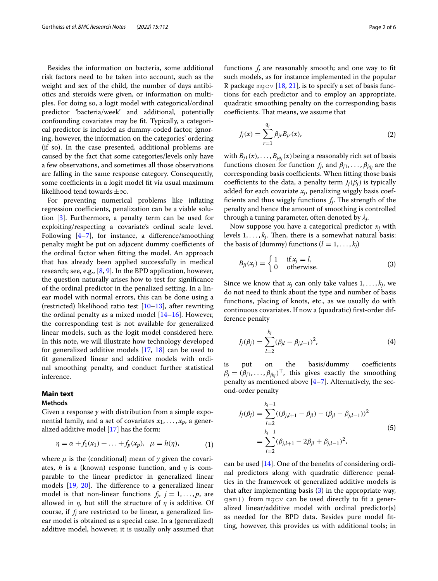Besides the information on bacteria, some additional risk factors need to be taken into account, such as the weight and sex of the child, the number of days antibiotics and steroids were given, or information on multiples. For doing so, a logit model with categorical/ordinal predictor 'bacteria/week' and additional, potentially confounding covariates may be ft. Typically, a categorical predictor is included as dummy-coded factor, ignoring, however, the information on the categories' ordering (if so). In the case presented, additional problems are caused by the fact that some categories/levels only have a few observations, and sometimes all those observations are falling in the same response category. Consequently, some coefficients in a logit model fit via usual maximum likelihood tend towards ±∞.

For preventing numerical problems like infating regression coefficients, penalization can be a viable solution [[3\]](#page-5-2). Furthermore, a penalty term can be used for exploiting/respecting a covariate's ordinal scale level. Following  $[4-7]$  $[4-7]$ , for instance, a difference/smoothing penalty might be put on adjacent dummy coefficients of the ordinal factor when ftting the model. An approach that has already been applied successfully in medical research; see, e.g.,  $[8, 9]$  $[8, 9]$  $[8, 9]$  $[8, 9]$ . In the BPD application, however, the question naturally arises how to test for signifcance of the ordinal predictor in the penalized setting. In a linear model with normal errors, this can be done using a (restricted) likelihood ratio test  $[10-13]$  $[10-13]$ , after rewriting the ordinal penalty as a mixed model  $[14–16]$  $[14–16]$  $[14–16]$ . However, the corresponding test is not available for generalized linear models, such as the logit model considered here. In this note, we will illustrate how technology developed for generalized additive models [\[17](#page-5-11), [18\]](#page-5-12) can be used to ft generalized linear and additive models with ordinal smoothing penalty, and conduct further statistical inference.

## **Main text**

## **Methods**

Given a response *y* with distribution from a simple exponential family, and a set of covariates  $x_1, \ldots, x_p$ , a generalized additive model [\[17\]](#page-5-11) has the form:

$$
\eta = \alpha + f_1(x_1) + \ldots + f_p(x_p), \ \mu = h(\eta), \tag{1}
$$

where  $\mu$  is the (conditional) mean of y given the covariates, *h* is a (known) response function, and  $\eta$  is comparable to the linear predictor in generalized linear models  $[19, 20]$  $[19, 20]$  $[19, 20]$  $[19, 20]$  $[19, 20]$ . The difference to a generalized linear model is that non-linear functions  $f_j$ ,  $j = 1, \ldots, p$ , are allowed in  $\eta$ , but still the structure of  $\eta$  is additive. Of course, if  $f_j$  are restricted to be linear, a generalized linear model is obtained as a special case. In a (generalized) additive model, however, it is usually only assumed that

$$
f_j(x) = \sum_{r=1}^{q_j} \beta_{jr} B_{jr}(x),
$$
 (2)

coefficients. That means, we assume that

with  $B_{j1}(x), \ldots, B_{jq_j}(x)$  being a reasonably rich set of basis functions chosen for function  $f_j$ , and  $\beta_{j1}, \ldots, \beta_{jq_j}$  are the corresponding basis coefficients. When fitting those basis coefficients to the data, a penalty term  $J_i(\beta_i)$  is typically added for each covariate  $x_i$ , penalizing wiggly basis coefficients and thus wiggly functions  $f_i$ . The strength of the penalty and hence the amount of smoothing is controlled through a tuning parameter, often denoted by  $\lambda_i$ .

Now suppose you have a categorical predictor  $x_i$  with levels  $1, \ldots, k_i$ . Then, there is a somewhat natural basis: the basis of (dummy) functions  $(l = 1, \ldots, k_i)$ 

<span id="page-1-0"></span>
$$
B_{jl}(x_j) = \begin{cases} 1 & \text{if } x_j = l, \\ 0 & \text{otherwise.} \end{cases}
$$
 (3)

Since we know that  $x_j$  can only take values  $1, \ldots, k_j$ , we do not need to think about the type and number of basis functions, placing of knots, etc., as we usually do with continuous covariates. If now a (quadratic) frst-order difference penalty

<span id="page-1-1"></span>
$$
J_j(\beta_j) = \sum_{l=2}^{k_j} (\beta_{jl} - \beta_{j,l-1})^2,
$$
 (4)

is put on the basis/dummy coefficients  $\beta_j = (\beta_{j1}, \dots, \beta_{jk_j})^\top$ , this gives exactly the smoothing penalty as mentioned above  $[4-7]$  $[4-7]$ . Alternatively, the second-order penalty

<span id="page-1-2"></span>
$$
J_j(\beta_j) = \sum_{l=2}^{k_j-1} ((\beta_{j,l+1} - \beta_{jl}) - (\beta_{jl} - \beta_{j,l-1}))^2
$$
  
= 
$$
\sum_{l=2}^{k_j-1} (\beta_{j,l+1} - 2\beta_{jl} + \beta_{j,l-1})^2,
$$
 (5)

can be used [[14\]](#page-5-9). One of the benefts of considering ordinal predictors along with quadratic diference penalties in the framework of generalized additive models is that after implementing basis  $(3)$  $(3)$  in the appropriate way, gam() from mgcv can be used directly to ft a generalized linear/additive model with ordinal predictor(s) as needed for the BPD data. Besides pure model ftting, however, this provides us with additional tools; in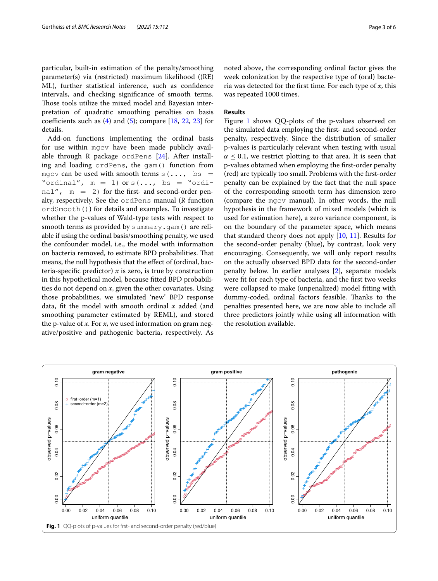particular, built-in estimation of the penalty/smoothing parameter(s) via (restricted) maximum likelihood ((RE) ML), further statistical inference, such as confdence intervals, and checking signifcance of smooth terms. Those tools utilize the mixed model and Bayesian interpretation of quadratic smoothing penalties on basis coefficients such as  $(4)$  $(4)$  and  $(5)$  $(5)$ ; compare  $[18, 22, 23]$  $[18, 22, 23]$  $[18, 22, 23]$  $[18, 22, 23]$  $[18, 22, 23]$  $[18, 22, 23]$  $[18, 22, 23]$  for details.

Add-on functions implementing the ordinal basis for use within mgcv have been made publicly available through R package ordPens  $[24]$  $[24]$ . After installing and loading ordPens, the gam() function from mgcv can be used with smooth terms  $s(\ldots, bs)$ "ordinal",  $m = 1$ ) or  $s(\ldots, bs = "ordi$ nal",  $m = 2$ ) for the first- and second-order penalty, respectively. See the ordPens manual (R function ordSmooth()) for details and examples. To investigate whether the p-values of Wald-type tests with respect to smooth terms as provided by summary.gam() are reliable if using the ordinal basis/smoothing penalty, we used the confounder model, i.e., the model with information on bacteria removed, to estimate BPD probabilities. Tat means, the null hypothesis that the effect of (ordinal, bacteria-specific predictor)  $x$  is zero, is true by construction in this hypothetical model, because ftted BPD probabilities do not depend on *x*, given the other covariates. Using those probabilities, we simulated 'new' BPD response data, ft the model with smooth ordinal *x* added (and smoothing parameter estimated by REML), and stored the p-value of *x*. For *x*, we used information on gram negative/positive and pathogenic bacteria, respectively. As noted above, the corresponding ordinal factor gives the week colonization by the respective type of (oral) bacteria was detected for the frst time. For each type of *x*, this was repeated 1000 times.

### **Results**

Figure [1](#page-2-0) shows QQ-plots of the p-values observed on the simulated data employing the frst- and second-order penalty, respectively. Since the distribution of smaller p-values is particularly relevant when testing with usual  $\alpha \leq 0.1$ , we restrict plotting to that area. It is seen that p-values obtained when employing the frst-order penalty (red) are typically too small. Problems with the frst-order penalty can be explained by the fact that the null space of the corresponding smooth term has dimension zero (compare the mgcv manual). In other words, the null hypothesis in the framework of mixed models (which is used for estimation here), a zero variance component, is on the boundary of the parameter space, which means that standard theory does not apply [[10](#page-5-7), [11\]](#page-5-19). Results for the second-order penalty (blue), by contrast, look very encouraging. Consequently, we will only report results on the actually observed BPD data for the second-order penalty below. In earlier analyses [[2](#page-5-1)], separate models were fit for each type of bacteria, and the first two weeks were collapsed to make (unpenalized) model ftting with dummy-coded, ordinal factors feasible. Thanks to the penalties presented here, we are now able to include all three predictors jointly while using all information with the resolution available.

<span id="page-2-0"></span>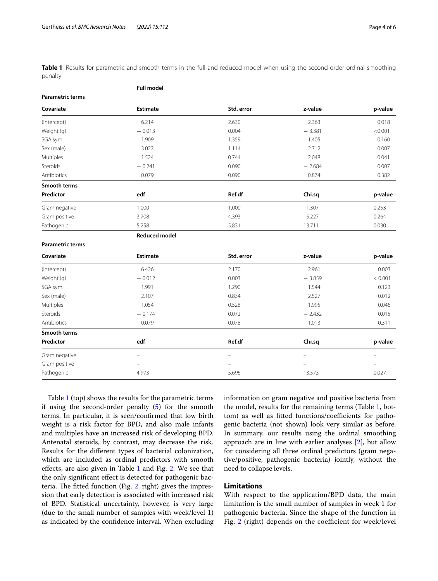**Full model**

<span id="page-3-0"></span>

|         | Table 1 Results for parametric and smooth terms in the full and reduced model when using the second-order ordinal smoothing |  |  |  |  |  |  |  |  |
|---------|-----------------------------------------------------------------------------------------------------------------------------|--|--|--|--|--|--|--|--|
| penalty |                                                                                                                             |  |  |  |  |  |  |  |  |

|                         | run mouer                |            |                          |         |
|-------------------------|--------------------------|------------|--------------------------|---------|
| <b>Parametric terms</b> |                          |            |                          |         |
| Covariate               | Estimate                 | Std. error | z-value                  | p-value |
| (Intercept)             | 6.214                    | 2.630      | 2.363                    | 0.018   |
| Weight (g)              | $-0.013$                 | 0.004      | $-3.381$                 | < 0.001 |
| SGA sym.                | 1.909                    | 1.359      | 1.405                    | 0.160   |
| Sex (male)              | 3.022                    | 1.114      | 2.712                    | 0.007   |
| Multiples               | 1.524                    | 0.744      | 2.048                    | 0.041   |
| Steroids                | $-0.241$                 | 0.090      | $-2.684$                 | 0.007   |
| Antibiotics             | 0.079                    | 0.090      | 0.874                    | 0.382   |
| <b>Smooth terms</b>     |                          |            |                          |         |
| Predictor               | edf                      | Ref.df     | Chi.sq                   | p-value |
| Gram negative           | 1.000                    | 1.000      | 1.307                    | 0.253   |
| Gram positive           | 3.708                    | 4.393      | 5.227                    | 0.264   |
| Pathogenic              | 5.258                    | 5.831      | 13.711                   | 0.030   |
|                         | <b>Reduced model</b>     |            |                          |         |
| <b>Parametric terms</b> |                          |            |                          |         |
| Covariate               | <b>Estimate</b>          | Std. error | z-value                  | p-value |
| (Intercept)             | 6.426                    | 2.170      | 2.961                    | 0.003   |
| Weight (g)              | $-0.012$                 | 0.003      | $-3.859$                 | < 0.001 |
| SGA sym.                | 1.991                    | 1.290      | 1.544                    | 0.123   |
| Sex (male)              | 2.107                    | 0.834      | 2.527                    | 0.012   |
| Multiples               | 1.054                    | 0.528      | 1.995                    | 0.046   |
| Steroids                | $-0.174$                 | 0.072      | $-2.432$                 | 0.015   |
| Antibiotics             | 0.079                    | 0.078      | 1.013                    | 0.311   |
| <b>Smooth terms</b>     |                          |            |                          |         |
| Predictor               | edf                      | Ref.df     | Chi.sq                   | p-value |
| Gram negative           | $\overline{\phantom{0}}$ |            | $\overline{\phantom{0}}$ | ÷       |
| Gram positive           |                          |            |                          |         |
| Pathogenic              | 4.973                    | 5.696      | 13.573                   | 0.027   |
|                         |                          |            |                          |         |

Table [1](#page-3-0) (top) shows the results for the parametric terms if using the second-order penalty [\(5\)](#page-1-2) for the smooth terms. In particular, it is seen/confrmed that low birth weight is a risk factor for BPD, and also male infants and multiples have an increased risk of developing BPD. Antenatal steroids, by contrast, may decrease the risk. Results for the diferent types of bacterial colonization, which are included as ordinal predictors with smooth efects, are also given in Table [1](#page-3-0) and Fig. [2.](#page-4-0) We see that the only signifcant efect is detected for pathogenic bac-teria. The fitted function (Fig. [2,](#page-4-0) right) gives the impression that early detection is associated with increased risk of BPD. Statistical uncertainty, however, is very large (due to the small number of samples with week/level 1) as indicated by the confdence interval. When excluding information on gram negative and positive bacteria from the model, results for the remaining terms (Table [1](#page-3-0), bottom) as well as fitted functions/coefficients for pathogenic bacteria (not shown) look very similar as before. In summary, our results using the ordinal smoothing approach are in line with earlier analyses [\[2](#page-5-1)], but allow for considering all three ordinal predictors (gram negative/positive, pathogenic bacteria) jointly, without the need to collapse levels.

## **Limitations**

With respect to the application/BPD data, the main limitation is the small number of samples in week 1 for pathogenic bacteria. Since the shape of the function in Fig. [2](#page-4-0) (right) depends on the coefficient for week/level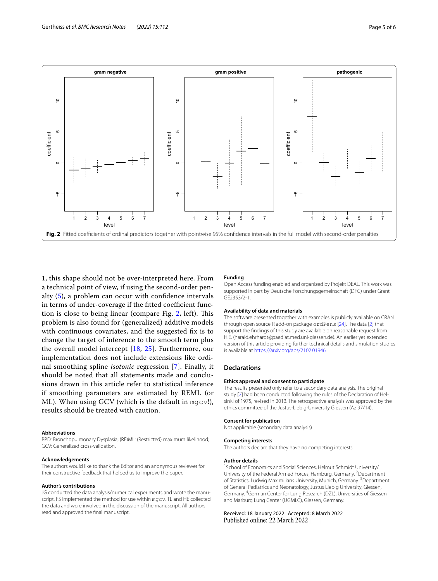

<span id="page-4-0"></span>1, this shape should not be over-interpreted here. From a technical point of view, if using the second-order penalty [\(5\)](#page-1-2), a problem can occur with confdence intervals in terms of under-coverage if the fitted coefficient func-tion is close to being linear (compare Fig. [2](#page-4-0), left). This problem is also found for (generalized) additive models with continuous covariates, and the suggested fix is to change the target of inference to the smooth term plus the overall model intercept [[18,](#page-5-12) [25\]](#page-5-20). Furthermore, our implementation does not include extensions like ordinal smoothing spline *isotonic* regression [[7\]](#page-5-4). Finally, it should be noted that all statements made and conclusions drawn in this article refer to statistical inference if smoothing parameters are estimated by REML (or ML). When using GCV (which is the default in mgcv!), results should be treated with caution.

#### **Abbreviations**

BPD: Bronchopulmonary Dysplasia; (RE)ML: (Restricted) maximum likelihood; GCV: Generalized cross-validation.

#### **Acknowledgements**

The authors would like to thank the Editor and an anonymous reviewer for their constructive feedback that helped us to improve the paper.

#### **Author's contributions**

JG conducted the data analysis/numerical experiments and wrote the manuscript. FS implemented the method for use within mgcv. TL and HE collected the data and were involved in the discussion of the manuscript. All authors read and approved the fnal manuscript.

#### **Funding**

Open Access funding enabled and organized by Projekt DEAL. This work was supported in part by Deutsche Forschungsgemeinschaft (DFG) under Grant GE2353/2-1.

#### **Availability of data and materials**

The software presented together with examples is publicly available on CRAN through open source R add-on package ordPens [\[24](#page-5-18)]. The data [[2](#page-5-1)] that support the fndings of this study are available on reasonable request from H.E. (harald.ehrhardt@paediat.med.uni-giessen.de). An earlier yet extended version of this article providing further technical details and simulation studies is available at <https://arxiv.org/abs/2102.01946>.

#### **Declarations**

#### **Ethics approval and consent to participate**

The results presented only refer to a secondary data analysis. The original study [[2](#page-5-1)] had been conducted following the rules of the Declaration of Helsinki of 1975, revised in 2013. The retrospective analysis was approved by the ethics committee of the Justus-Liebig-University Giessen (Az 97/14).

#### **Consent for publication**

Not applicable (secondary data analysis).

#### **Competing interests**

The authors declare that they have no competing interests.

#### **Author details**

<sup>1</sup> School of Economics and Social Sciences, Helmut Schmidt University/ University of the Federal Armed Forces, Hamburg, Germany. <sup>2</sup>Department of Statistics, Ludwig Maximilians University, Munich, Germany. <sup>3</sup>Department of General Pediatrics and Neonatology, Justus Liebig University, Giessen, Germany. <sup>4</sup> German Center for Lung Research (DZL), Universities of Giessen and Marburg Lung Center (UGMLC), Giessen, Germany.

#### Received: 18 January 2022 Accepted: 8 March 2022 Published online: 22 March 2022